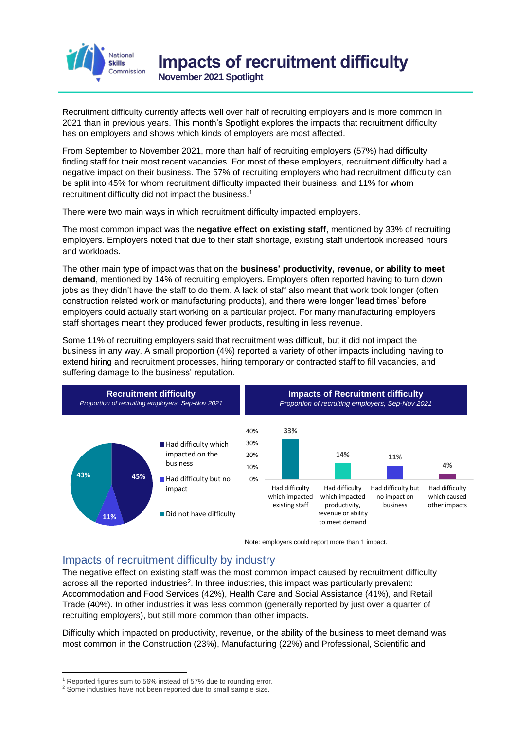

**November 2021 Spotlight**

Recruitment difficulty currently affects well over half of recruiting employers and is more common in 2021 than in previous years. This month's Spotlight explores the impacts that recruitment difficulty has on employers and shows which kinds of employers are most affected.

From September to November 2021, more than half of recruiting employers (57%) had difficulty finding staff for their most recent vacancies. For most of these employers, recruitment difficulty had a negative impact on their business. The 57% of recruiting employers who had recruitment difficulty can be split into 45% for whom recruitment difficulty impacted their business, and 11% for whom recruitment difficulty did not impact the business.<sup>1</sup>

There were two main ways in which recruitment difficulty impacted employers.

The most common impact was the **negative effect on existing staff**, mentioned by 33% of recruiting employers. Employers noted that due to their staff shortage, existing staff undertook increased hours and workloads.

The other main type of impact was that on the **business' productivity, revenue, or ability to meet demand**, mentioned by 14% of recruiting employers. Employers often reported having to turn down jobs as they didn't have the staff to do them. A lack of staff also meant that work took longer (often construction related work or manufacturing products), and there were longer 'lead times' before employers could actually start working on a particular project. For many manufacturing employers staff shortages meant they produced fewer products, resulting in less revenue.

Some 11% of recruiting employers said that recruitment was difficult, but it did not impact the business in any way. A small proportion (4%) reported a variety of other impacts including having to extend hiring and recruitment processes, hiring temporary or contracted staff to fill vacancies, and suffering damage to the business' reputation.



Note: employers could report more than 1 impact.

#### Impacts of recruitment difficulty by industry

The negative effect on existing staff was the most common impact caused by recruitment difficulty across all the reported industries<sup>2</sup>. In three industries, this impact was particularly prevalent: Accommodation and Food Services (42%), Health Care and Social Assistance (41%), and Retail Trade (40%). In other industries it was less common (generally reported by just over a quarter of recruiting employers), but still more common than other impacts.

Difficulty which impacted on productivity, revenue, or the ability of the business to meet demand was most common in the Construction (23%), Manufacturing (22%) and Professional, Scientific and

<sup>&</sup>lt;sup>1</sup> Reported figures sum to 56% instead of 57% due to rounding error.

<sup>&</sup>lt;sup>2</sup> Some industries have not been reported due to small sample size.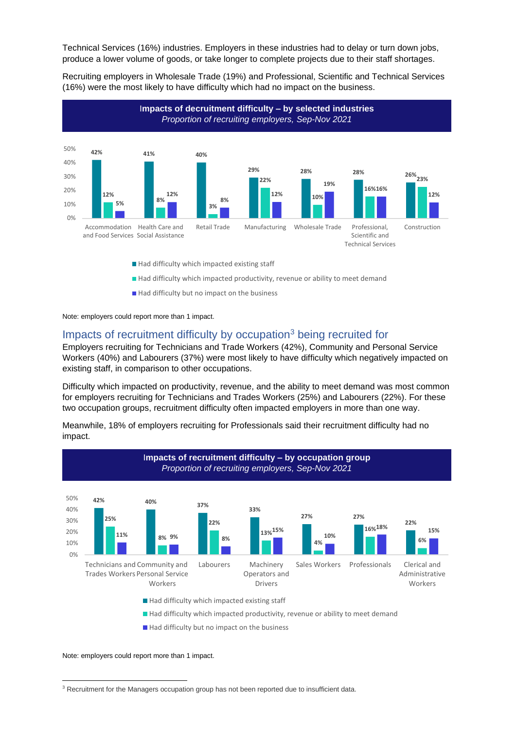Technical Services (16%) industries. Employers in these industries had to delay or turn down jobs, produce a lower volume of goods, or take longer to complete projects due to their staff shortages.

Recruiting employers in Wholesale Trade (19%) and Professional, Scientific and Technical Services (16%) were the most likely to have difficulty which had no impact on the business.



- Had difficulty which impacted productivity, revenue or ability to meet demand
- $\blacksquare$  Had difficulty but no impact on the business

Note: employers could report more than 1 impact.

#### Impacts of recruitment difficulty by occupation<sup>3</sup> being recruited for

Employers recruiting for Technicians and Trade Workers (42%), Community and Personal Service Workers (40%) and Labourers (37%) were most likely to have difficulty which negatively impacted on existing staff, in comparison to other occupations.

Difficulty which impacted on productivity, revenue, and the ability to meet demand was most common for employers recruiting for Technicians and Trades Workers (25%) and Labourers (22%). For these two occupation groups, recruitment difficulty often impacted employers in more than one way.



Meanwhile, 18% of employers recruiting for Professionals said their recruitment difficulty had no impact.

- Had difficulty which impacted existing staff
- Had difficulty which impacted productivity, revenue or ability to meet demand
- Had difficulty but no impact on the business

Note: employers could report more than 1 impact.

<sup>&</sup>lt;sup>3</sup> Recruitment for the Managers occupation group has not been reported due to insufficient data.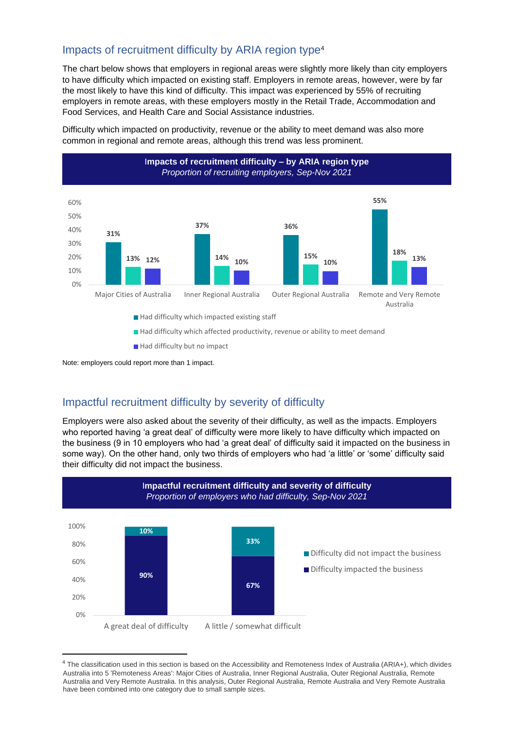# Impacts of recruitment difficulty by ARIA region type<sup>4</sup>

The chart below shows that employers in regional areas were slightly more likely than city employers to have difficulty which impacted on existing staff. Employers in remote areas, however, were by far the most likely to have this kind of difficulty. This impact was experienced by 55% of recruiting employers in remote areas, with these employers mostly in the Retail Trade, Accommodation and Food Services, and Health Care and Social Assistance industries.

Difficulty which impacted on productivity, revenue or the ability to meet demand was also more common in regional and remote areas, although this trend was less prominent.



Had difficulty which impacted existing staff

- Had difficulty which affected productivity, revenue or ability to meet demand
- Had difficulty but no impact

Note: employers could report more than 1 impact.

# Impactful recruitment difficulty by severity of difficulty

Employers were also asked about the severity of their difficulty, as well as the impacts. Employers who reported having 'a great deal' of difficulty were more likely to have difficulty which impacted on the business (9 in 10 employers who had 'a great deal' of difficulty said it impacted on the business in some way). On the other hand, only two thirds of employers who had 'a little' or 'some' difficulty said their difficulty did not impact the business.



<sup>&</sup>lt;sup>4</sup> The classification used in this section is based on the Accessibility and Remoteness Index of Australia (ARIA+), which divides Australia into 5 'Remoteness Areas': Major Cities of Australia, Inner Regional Australia, Outer Regional Australia, Remote Australia and Very Remote Australia. In this analysis, Outer Regional Australia, Remote Australia and Very Remote Australia have been combined into one category due to small sample sizes.